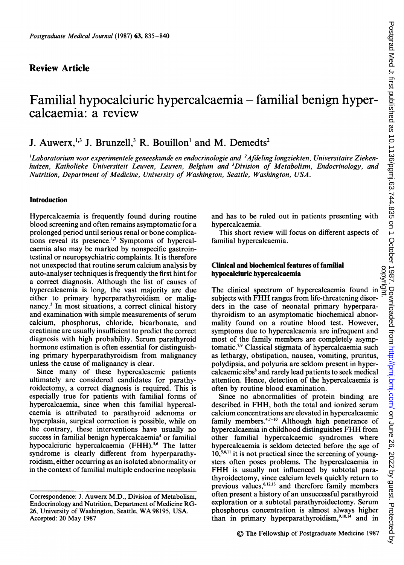## Review Article

# Postgrad Med J: first published as 10.1136/pgmj.63.744.835 on 1 October 1987. Downloaded from http://pmj.com/ on June 26, 2022 by guest. Protected by

# Familial hypocalciuric hypercalcaemia - familial benign hypercalcaemia: a review

J. Auwerx,<sup>1,3</sup> J. Brunzell,<sup>3</sup> R. Bouillon<sup>1</sup> and M. Demedts<sup>2</sup>

 $'$ Laboratorium voor experimentele geneeskunde en endocrinologie and <sup>2</sup>Afdeling longziekten, Universitaire Ziekenhuizen, Katholieke Universiteit Leuven, Leuven, Belgium and <sup>3</sup> Division of Metabolism, Endocrinology, and Nutrition, Department of Medicine, University of Washington, Seattle, Washington, USA.

### Introduction

Hypercalcaemia is frequently found during routine blood screening and often remains asymptomatic for a prolonged period until serious renal or bone complications reveal its presence.<sup>1,2</sup> Symptoms of hypercalcaemia also may be marked by nonspecific gastrointestinal or neuropsychiatric complaints. It is therefore not unexpected that routine serum calcium analysis by auto-analyser techniques is frequently the first hint for a correct diagnosis. Although the list of causes of hypercalcaemia is long, the vast majority are due either to primary hyperparathyroidism or malignancy.3 In most situations, a correct clinical history and examination with simple measurements of serum calcium, phosphorus, chloride, bicarbonate, and creatinine are usually insufficient to predict the correct diagnosis with high probability. Serum parathyroid hormone estimation is often essential for distinguishing primary hyperparathyroidism from malignancy unless the cause of malignancy is clear.

Since many of these hypercalcaemic patients ultimately are considered candidates for parathyroidectomy, a correct diagnosis is required. This is especially true for patients with familial forms of hypercalcaemia, since when this familial hypercalcaemia is attributed to parathyroid adenoma or hyperplasia, surgical correction is possible, while on the contrary, these interventions have usually no success in familial benign hypercalcaemia<sup>4</sup> or familial hypocalciuric hypercalcaemia (FHH).<sup>5,6</sup> The latter syndrome is clearly different from hyperparathyroidism, either occurring as an isolated abnormality or in the context of familial multiple endocrine neoplasia and has to be ruled out in patients presenting with hypercalcaemia.

This short review will focus on different aspects of familial hypercalcaemia.

### Clinical and biochemical features of familial hypocalciuric hypercalcaemia

Appocalciuric hypercalcaemia<br>The clinical spectrum of hypercalcaemia found in the<br>material spectrum of hypercalcaemia found in the subjects with FHH ranges from life-threatening disorders in the case of neonatal primary hyperparathyroidism to an asymptomatic biochemical abnormality found on a routine blood test. However, symptoms due to hypercalcaemia are infrequent and most of the family members are completely asymptomatic.79 Classical stigmata of hypercalcaemia such as lethargy, obstipation, nausea, vomiting, pruritus, polydipsia, and polyuria are seldom present in hypercalcaemic sibs<sup>8</sup> and rarely lead patients to seek medical attention. Hence, detection of the hypercalcaemia is often by routine blood examination.

Since no abnormalities of protein binding are described in FHH, both the total and ionized serum calcium concentrations are elevated in hypercalcaemic family members. $4,7-10$  Although high penetrance of hypercalcaemia in childhood distinguishes FHH from other familial hypercalcaemic syndromes where hypercalcaemia is seldom detected before the age of  $10,5,6,11$  it is not practical since the screening of youngsters often poses problems. The hypercalcaemia in FHH is usually not influenced by subtotal parathyroidectomy, since calcium levels quickly return to previous values,<sup>6,12,13</sup> and therefore family members often present a history of an unsuccessful parathyroid exploration or a subtotal parathyroidectomy. Serum phosphorus concentration is almost always higher than in primary hyperparathyroidism,<sup>9,10,14</sup> and in

Correspondence: J. Auwerx M.D., Division of Metabolism, Endocrinology and Nutrition, Department of Medicine RG-26, University of Washington, Seattle, WA98195, USA. Accepted: 20 May 1987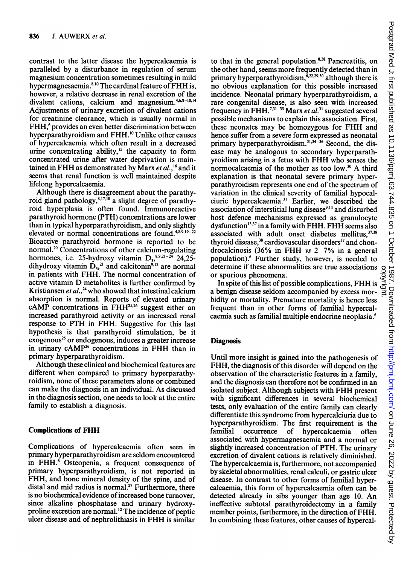contrast to the latter disease the hypercalcaemia is paralleled by a disturbance in regulation of serum magnesium concentration sometimes resulting in mild hypermagnesaemia.<sup>8,10</sup> The cardinal feature of FHH is, however, a relative decrease in renal excretion of the divalent cations, calcium and magnesium.<sup>4,6,8-10,14</sup> Adjustments of urinary excretion of divalent cations for creatinine clearance, which is usually normal in FHH,<sup>6</sup> provides an even better discrimination between hyperparathyroidism and FHH.<sup>10</sup> Unlike other causes of hypercalcaemia which often result in a decreased urine concentrating ability,<sup>15</sup> the capacity to form concentrated urine after water deprivation is maintained in FHH as demonstrated by Marx et al., <sup>16</sup> and it seems that renal function is well maintained despite lifelong hypercalcaemia.

Although there is disagreement about the parathyroid gland pathology,""" a slight degree of parathyroid hyperplasia is often found. Immunoreactive parathyroid hormone (PTH) concentrations are lower than in typical hyperparathyroidism, and only slightly elevated or normal concentrations are found. $48,9,19-22$ Bioactive parathyroid hormone is reported to be normal.20 Concentrations of other calcium-regulating hormones, i.e. 25-hydroxy vitamin  $D<sub>2</sub>$ <sup>8,9,21-24</sup> 24,25dihydroxy vitamin  $D_{3}$ <sup>21</sup> and calcitonin<sup>9,12</sup> are normal in patients with FHH. The normal concentration of active vitamin D metabolites is further confirmed by Kristiansen et al.,<sup>24</sup> who showed that intestinal calcium absorption is normal. Reports of elevated urinary  $cAMP$  concentrations in  $FHH<sup>25,26</sup>$  suggest either an increased parathyroid activity or an increased renal response to PTH in FHH. Suggestive for this last hypothesis is that parathyroid stimulation, be it  $exogenous<sup>25</sup>$  or endogenous, induces a greater increase in urinary cAMP26 concentrations in FHH than in primary hyperparathyroidism.

Although these clinical and biochemical features are different when compared to primary hyperparathyroidism, none of these parameters alone or combined can make the diagnosis in an individual. As discussed in the diagnosis section, one needs to look at the entire family to establish a diagnosis.

### Complications of FHH

Complications of hypercalcaemia often seen in primary hyperparathyroidism are seldom encountered in FHH.<sup>6</sup> Osteopenia, a frequent consequence of primary hyperparathyroidism, is not reported in FHH, and bone mineral density of the spine, and of distal and mid radius is normal.<sup>27</sup> Furthermore, there is no biochemical evidence of increased bone turnover, since alkaline phosphatase and urinary hydroxyproline excretion are normal.'2 The incidence of peptic ulcer disease and of nephrolithiasis in FHH is similar

to that in the general population.8'28 Pancreatitis, on the other hand, seems more frequently detected than in primary hyperparathyroidism, $\frac{6,22,29,30}{ }$  although there is no obvious explanation for this possible increased incidence. Neonatal primary hyperparathyroidism, a rare congenital disease, is also seen with increased frequency in FHH.<sup>7,31-35</sup> Marx *et al.*<sup>31</sup> suggested several possible mechanisms to explain this association. First, these neonates may be homozygous for FHH and hence suffer from a severe form expressed as neonatal primary hyperparathyroidism. $31,34-36$  Second, the disease may be analogous to secondary hyperparathyroidism arising in <sup>a</sup> fetus with FHH who senses the normocalcaemia of the mother as too low.<sup>30</sup> A third explanation is that neonatal severe primary hyperparathyroidism represents one end of the spectrum of variation in the clinical severity of familial hypocalciuric hypercalcaemia.31 Earlier, we described the association of interstitial lung disease $9,13$  and disturbed host defence mechanisms expressed as granulocyte dysfunction<sup>13,37</sup> in a family with FHH. FHH seems also associated with adult onset diabetes mellitus, $37,38$ thyroid disease,<sup>38</sup> cardiovascular disorders<sup>37</sup> and chondrocalcinosis (36% in FHH  $\upsilon$ s 2-7% in a general population).6 Further study, however, is needed to determine if these abnormalities are true associations or spurious phenomena.

In spite of this list of possible complications, FHH is a benign disease seldom accompanied by excess morbidity or mortality. Premature mortality is hence less frequent than in other forms of familial hypercalcaemia such as familial multiple endocrine neoplasia.<sup>6</sup>

### **Diagnosis**

Until more insight is gained into the pathogenesis of FHH, the diagnosis of this disorder will depend on the observation of the characteristic features in a family, and the diagnosis can therefore not be confirmed in an isolated subject. Although subjects with FHH present with significant differences in several biochemical tests, only evaluation of the entire family can clearly differentiate this syndrome from hypercalciuria due to hyperparathyroidism. The first requirement is the familial occurrence of hypercalcaemia often familial occurrence of hypercalcaemia associated with hypermagnesaemia and a normal or slightly increased concentration of PTH. The urinary excretion of divalent cations is relatively diminished. The hypercalcaemia is, furthermore, not accompanied by skeletal abnormalities, renal calculi, or gastric ulcer disease. In contrast to other forms of familial hypercalcaemia, this form of hypercalcaemia often can be detected already in sibs younger than age 10. An ineffective subtotal parathyroidectomy in a family member points, furthermore, in the direction of FHH. In combining these features, other causes of hypercal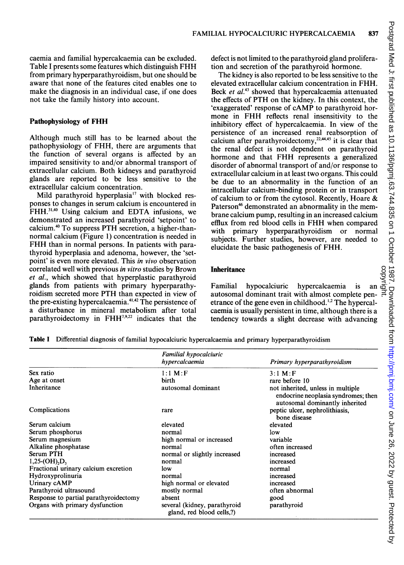caemia and familial hypercalcaemia can be excluded. Table <sup>I</sup> presents some features which distinguish FHH from primary hyperparathyroidism, but one should be aware that none of the features cited enables one to make the diagnosis in an individual case, if one does not take the family history into account.

### Pathophysiology of FHH

Although much still has to be learned about the pathophysiology of FHH, there are arguments that the function of several organs is affected by an impaired sensitivity to and/or abnormal transport of extracellular calcium. Both kidneys and parathyroid glands are reported to be less sensitive to the extracellular calcium concentration.

Mild parathyroid hyperplasia<sup>17</sup> with blocked responses to changes in serum calcium is encountered in FHH.<sup>31,40</sup> Using calcium and EDTA infusions, we demonstrated an increased parathyroid 'setpoint' to calcium.40 To suppress PTH secretion, <sup>a</sup> higher-thannormal calcium (Figure 1) concentration is needed in FHH than in normal persons. In patients with parathyroid hyperplasia and adenoma, however, the 'setpoint' is even more elevated. This in vivo observation correlated well with previous in vitro studies by Brown et al., which showed that hyperplastic parathyroid glands from patients with primary hyperparathyroidism secreted more PTH than expected in view of the pre-existing hypercalcaemia.<sup>41,42</sup> The persistence of a disturbance in mineral metabolism after total parathyroidectomy in  $FHH^{7,9,22}$  indicates that the defect is not limited to the parathyroid gland proliferation and secretion of the parathyroid hormone.

The kidney is also reported to be less sensitive to the elevated extracellular calcium concentration in FHH. Beck et al.<sup>43</sup> showed that hypercalcaemia attenuated the effects of PTH on the kidney. In this context, the 'exaggerated' response of cAMP to parathyroid hormone in FHH reflects renal insensitivity to the inhibitory effect of hypercalcaemia. In view of the persistence of an increased renal reabsorption of calcium after parathyroidectomy, $22,44,45$  it is clear that the renal defect is not dependent on parathyroid hormone and that FHH represents <sup>a</sup> generalized disorder of abnormal transport of and/or response to extracellular calcium in at least two organs. This could be due to an abnormality in the function of an intracellular calcium-binding protein or in transport of calcium to or from the cytosol. Recently, Hoare & Paterson<sup>46</sup> demonstrated an abnormality in the membrane calcium pump, resulting in an increased calcium efflux from red blood cells in FHH when compared with primary hyperparathyroidism or normal subjects. Further studies, however, are needed to elucidate the basic pathogenesis of FHH.

### Inheritance

Familial hypocalciuric hypercalcaemia is an autosomal dominant trait with almost complete penetrance of the gene even in childhood.<sup>1,2</sup> The hypercalcaemia is usually persistent in time, although there is a tendency towards a slight decrease with advancing

Table <sup>I</sup> Differential diagnosis of familial hypocalciuric hypercalcaemia and primary hyperparathyroidism

|                                       | Familial hypocalciuric<br>hypercalcaemia                  | Primary hyperparathyroidism                                                                                |
|---------------------------------------|-----------------------------------------------------------|------------------------------------------------------------------------------------------------------------|
| Sex ratio                             | 1:1 M:F                                                   | $3:1 \text{ M}$ :F                                                                                         |
| Age at onset                          | birth                                                     | rare before 10                                                                                             |
| Inheritance                           | autosomal dominant                                        | not inherited, unless in multiple<br>endocrine neoplasia syndromes; then<br>autosomal dominantly inherited |
| Complications                         | rare                                                      | peptic ulcer, nephrolithiasis,<br>bone disease                                                             |
| Serum calcium                         | elevated                                                  | elevated                                                                                                   |
| Serum phosphorus                      | normal                                                    | low                                                                                                        |
| Serum magnesium                       | high normal or increased                                  | variable                                                                                                   |
| Alkaline phosphatase                  | normal                                                    | often increased                                                                                            |
| Serum PTH                             | normal or slightly increased                              | increased                                                                                                  |
| $1,25$ -(OH), $D_3$                   | normal                                                    | increased                                                                                                  |
| Fractional urinary calcium excretion  | low                                                       | normal                                                                                                     |
| Hydroxyprolinuria                     | normal                                                    | increased                                                                                                  |
| Urinary cAMP                          | high normal or elevated                                   | increased                                                                                                  |
| Parathyroid ultrasound                | mostly normal                                             | often abnormal                                                                                             |
| Response to partial parathyroidectomy | absent                                                    | good                                                                                                       |
| Organs with primary dysfunction       | several (kidney, parathyroid<br>gland, red blood cells,?) | parathyroid                                                                                                |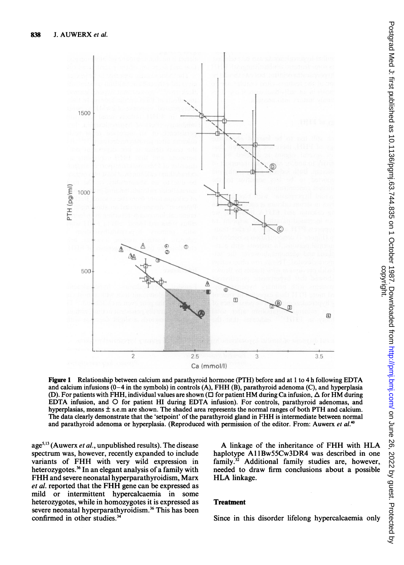

Figure <sup>1</sup> Relationship between calcium and parathyroid hormone (PTH) before and at <sup>I</sup> to <sup>4</sup> h following EDTA and calcium infusions (0-4 in the symbols) in controls (A), FHH (B), parathyroid adenoma (C), and hyperplasia (D). For patients with FHH, individual values are shown ( $\Box$  for patient HM during Ca infusion,  $\Delta$  for HM during EDTA infusion, and 0 for patient HI during EDTA infusion). For controls, parathyroid adenomas, and hyperplasias, means  $\pm$  s.e.m are shown. The shaded area represents the normal ranges of both PTH and calcium. The data clearly demonstrate that the 'setpoint' of the parathyroid gland in FHH is intermediate between normal and parathyroid adenoma or hyperplasia. (Reproduced with permission of the editor. From: Auwerx et al.<sup>40</sup>

age<sup>5,13</sup> (Auwerx *et al.*, unpublished results). The disease spectrum was, however, recently expanded to include variants of FHH with very wild expression in heterozygotes.<sup>36</sup> In an elegant analysis of a family with FHH and severe neonatal hyperparathyroidism, Marx et al. reported that the FHH gene can be expressed as mild or intermittent hypercalcaemia in some heterozygotes, while in homozygotes it is expressed as severe neonatal hyperparathyroidism.<sup>36</sup> This has been confirmed in other studies.<sup>34</sup>

A linkage of the inheritance of FHH with HLA haplotype AllBw55Cw3DR4 was described in one family.32 Additional family studies are, however, needed to draw firm conclusions about a possible HLA linkage.

### Treatment

Since in this disorder lifelong hypercalcaemia only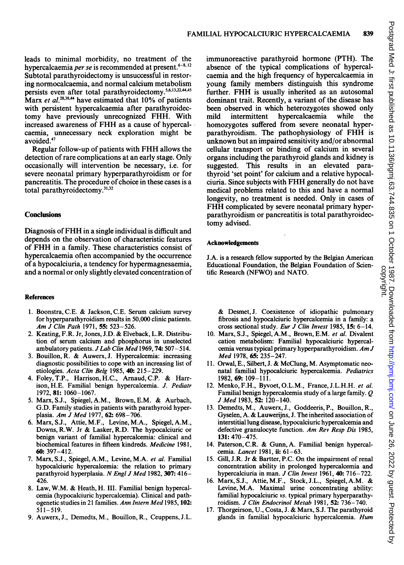Postgrad Med J: first published as 10.1136/pgmj.63.744.835 on 1 October 1987. Downloaded from http://pmj.com/ on June 26, 2022 by guest. Protected by

leads to minimal morbidity, no treatment of the hypercalcaemia per se is recommended at present.<sup>6-8, 12</sup> Subtotal parathyroidectomy is unsuccessful in restoring normocalcaemia, and normal calcium metabolism persists even after total parathyroidectomy.<sup>5,6,13,22,44,45</sup> Marx et  $al.^{28,38,44}$  have estimated that 10% of patients with persistent hypercalcaemia after parathyroidectomy have previously unrecognized FHH. With increased awareness of FHH as <sup>a</sup> cause of hypercalcaemia, unnecessary neck exploration might be avoided.47

Regular follow-up of patients with FHH allows the detection of rare complications at an early stage. Only occasionally will intervention be necessary, i.e. for severe neonatal primary hyperparathyroidism or for pancreatitis. The procedure of choice in these cases is a total parathyroidectomy.<sup>31,32</sup>

### **Conclusions**

Diagnosis of FHH in <sup>a</sup> single individual is difficult and depends on the observation of characteristic features of FHH in <sup>a</sup> family. These characteristics consist of hypercalcaemia often accompanied by the occurrence of a hypocalciuria, a tendency for hypermagnesaemia, and a normal or only slightly elevated concentration of

### References

- 1. Boonstra, C.E. & Jackson, C.E. Serum calcium survey for hyperparathyroidism results in 50,000 clinic patients. Am J Clin Path 1971, 55: 523-526.
- 2. Keating, F.R. Jr, Jones, J.D. & Elveback, L.R. Distribution of serum calcium and phosphorus in unselected ambulatory patients. J Lab Clin Med 1969, 74: 507-514.
- 3. Bouillon, R. & Auwerx, J. Hypercalcemia: increasing diagnostic possibilities to cope with an increasing list of etiologies. Acta Clin Belg 1985, 40: 215-229.
- 4. Foley, T.P., Harrison, H.C., Arnaud, C.P. & Harrison, H.E. Familial benign hypercalcemia. J. Pediatr 1972, 81: 1060-1067.
- 5. Marx, S.J., Spiegel, A.M., Brown, E.M. & Aurbach, G.D. Family studies in patients with parathyroid hyperplasia. Am J Med 1977, 62: 698-706.
- 6. Marx, S.J., Attie, M.F., Levine, M.A., Spiegel, A.M., Downs, R.W. Jr & Lasker, R.D. The hypocalciuric or benign variant of familial hypercalcemia: clinical and biochemical features in fifteen kindreds. Medicine 1981, 60: 397-412.
- 7. Marx, S.J., Spiegel, A.M., Levine, M.A. et al. Familial hypocalciuric hypercalcemia: the relation to primary parathyroid hyperplasia. N Engl J Med 1982, 307: 416- 426.
- 8. Law, W.M. & Heath, H. III. Familial benign hypercalcemia (hypocalciuric hypercalcemia). Clinical and pathogenetic studies in <sup>21</sup> families. Ann Intern Med 1985, 102: 511-519.
- 9. Auwerx, J., Demedts, M., Bouillon, R., Ceuppens, J.L.

immunoreactive parathyroid hormone (PTH). The absence of the typical complications of hypercalcaemia and the high frequency of hypercalcaemia in young family members distinguish this syndrome further. FHH is usually inherited as an autosomal dominant trait. Recently, a variant of the disease has been observed in which heterozygotes showed only<br>mild intermittent hypercalcaemia while the mild intermittent hypercalcaemia homozygotes suffered from severe neonatal hyperparathyroidism. The pathophysiology of FHH is unknown but an impaired sensitivity and/or abnormal cellular transport or binding of calcium in several organs including the parathyroid glands and kidney is suggested. This results in an elevated parathyroid 'set point' for calcium and a relative hypocalciuria. Since subjects with FHH generally do not have medical problems related to this and have a normal longevity, no treatment is needed. Only in cases of FHH complicated by severe neonatal primary hyperparathyroidism or pancreatitis is total parathyroidectomy advised.

### Acknowledgements

J.A. is a research fellow supported by the Belgian American Educational Foundation, the Belgian Foundation of Scientific Research (NFWO) and NATO.

& Desmet, J. Coexistence of idiopathic pulmonary fibrosis and hypocalciuric hypercalcemia in a family: a cross sectional study. Eur J Clin Invest 1985, 15: 6-14.

- 10. Marx, S.J., Spiegel, A.M., Brown, E.M. et al. Divalent cation metabolism: Familial hypocalciuric hypercalcemia versus typical primary hyperparathyroidism. Am J Med 1978, 65: 235-247.
- 11. Orwal, E., Silbert, J. & McClung, M. Asymptomatic neonatal familial hypocalciuric hypercalcemia. Pediatrics 1982, 69: 109-111.
- 12. Menko, F.H., Byvoet, O.L.M., France, J.L.H.H. et al. Familial benign hypercalcemia study of <sup>a</sup> large family. Q J Med 1983, 52: 120-140.
- 13. Demedts, M., Auwerx, J., Goddeeris, P., Bouillon, R., Gyselen, A. & Lauwerijns, J. The inherited association of interstitial lung disease, hypocalciuric hypercalcemia and defective granulocyte function. Am Rev Resp Dis 1985, 131: 470-475.
- 14. Paterson, C.R. & Gunn, A. Familial benign hypercalcemia. Lancet 1981, ii: 61-63.
- 15. Gill, J.R. Jr & Bartter, P.C. On the impairment of renal concentration ability in prolonged hypercalcemia and hypercalciuria in man. J Clin Invest 1961, 40: 716-722.
- 16. Marx, S.J., Attie, M.F., Stock, J.L., Spiegel, A.M. & Levine, M.A. Maximal urine concentrating ability: familial hypocalciuric vs. typical primary hyperparathyroidism. J Clin Endocrinol Metab 1981, 52: 736-740.
- 17. Thorgeirson, U., Costa, J. & Marx, S.J. The parathyroid glands in familial hypocalciuric hypercalcemia. Hum